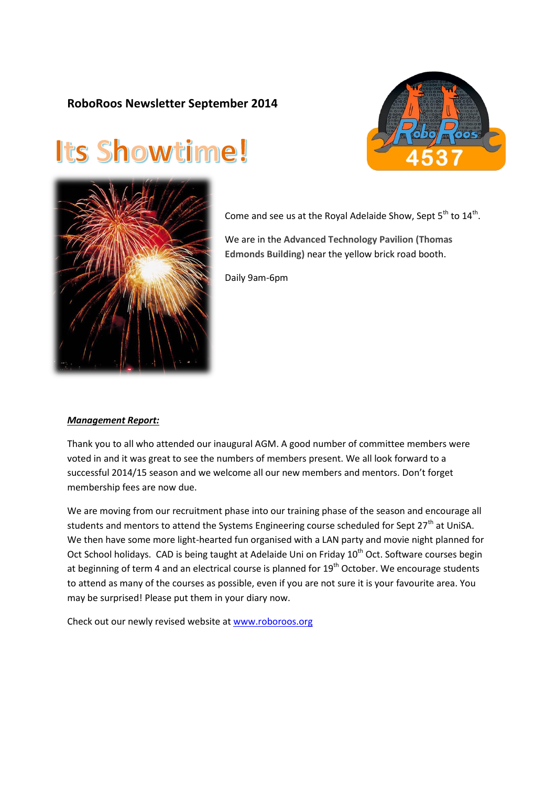## **RoboRoos Newsletter September 2014**

# Its Showtime!





Come and see us at the Royal Adelaide Show, Sept  $5<sup>th</sup>$  to  $14<sup>th</sup>$ .

We are in the **Advanced Technology Pavilion (Thomas Edmonds Building)** near the yellow brick road booth.

Daily 9am-6pm

#### *Management Report:*

Thank you to all who attended our inaugural AGM. A good number of committee members were voted in and it was great to see the numbers of members present. We all look forward to a successful 2014/15 season and we welcome all our new members and mentors. Don't forget membership fees are now due.

We are moving from our recruitment phase into our training phase of the season and encourage all students and mentors to attend the Systems Engineering course scheduled for Sept 27<sup>th</sup> at UniSA. We then have some more light-hearted fun organised with a LAN party and movie night planned for Oct School holidays. CAD is being taught at Adelaide Uni on Friday 10<sup>th</sup> Oct. Software courses begin at beginning of term 4 and an electrical course is planned for  $19<sup>th</sup>$  October. We encourage students to attend as many of the courses as possible, even if you are not sure it is your favourite area. You may be surprised! Please put them in your diary now.

Check out our newly revised website at [www.roboroos.org](http://www.roboroos.org/)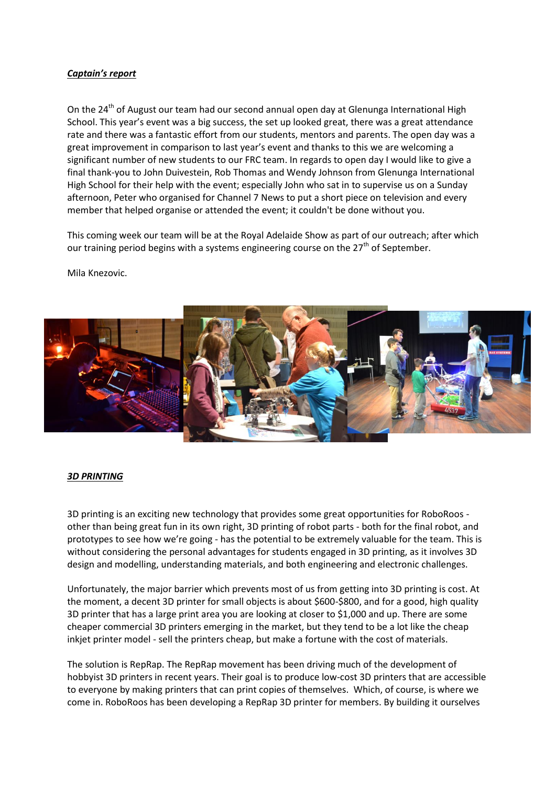### *Captain's report*

On the 24<sup>th</sup> of August our team had our second annual open day at Glenunga International High School. This year's event was a big success, the set up looked great, there was a great attendance rate and there was a fantastic effort from our students, mentors and parents. The open day was a great improvement in comparison to last year's event and thanks to this we are welcoming a significant number of new students to our FRC team. In regards to open day I would like to give a final thank-you to John Duivestein, Rob Thomas and Wendy Johnson from Glenunga International High School for their help with the event; especially John who sat in to supervise us on a Sunday afternoon, Peter who organised for Channel 7 News to put a short piece on television and every member that helped organise or attended the event; it couldn't be done without you.

This coming week our team will be at the Royal Adelaide Show as part of our outreach; after which our training period begins with a systems engineering course on the  $27<sup>th</sup>$  of September.

Mila Knezovic.



#### *3D PRINTING*

3D printing is an exciting new technology that provides some great opportunities for RoboRoos other than being great fun in its own right, 3D printing of robot parts - both for the final robot, and prototypes to see how we're going - has the potential to be extremely valuable for the team. This is without considering the personal advantages for students engaged in 3D printing, as it involves 3D design and modelling, understanding materials, and both engineering and electronic challenges.

Unfortunately, the major barrier which prevents most of us from getting into 3D printing is cost. At the moment, a decent 3D printer for small objects is about \$600-\$800, and for a good, high quality 3D printer that has a large print area you are looking at closer to \$1,000 and up. There are some cheaper commercial 3D printers emerging in the market, but they tend to be a lot like the cheap inkjet printer model - sell the printers cheap, but make a fortune with the cost of materials.

The solution is RepRap. The RepRap movement has been driving much of the development of hobbyist 3D printers in recent years. Their goal is to produce low-cost 3D printers that are accessible to everyone by making printers that can print copies of themselves. Which, of course, is where we come in. RoboRoos has been developing a RepRap 3D printer for members. By building it ourselves